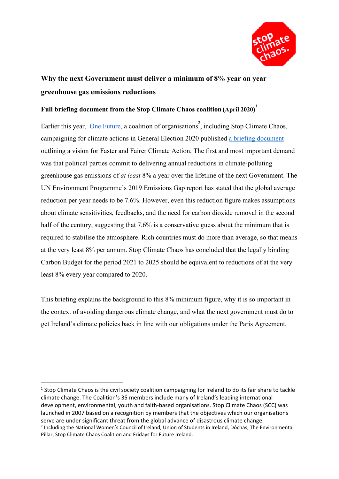

# **Why the next Government must deliver a minimum of 8% year on year greenhouse gas emissions reductions**

## **Full briefing document from the Stop Climate Chaos coalition (April 2020) 1**

Earlier this year, [One Future](http://ww.onefuture.ie/), a coalition of organisations<sup>2</sup>, including Stop Climate Chaos, campaigning for climate actions in General Election 2020 published [a briefing document](https://www.onefuture.ie/assets/files/pdf/one_future_detailed_briefing.pdf) outlining a vision for Faster and Fairer Climate Action. The first and most important demand was that political parties commit to delivering annual reductions in climate-polluting greenhouse gas emissions of *at least* 8% a year over the lifetime of the next Government. The UN Environment Programme's 2019 Emissions Gap report has stated that the global average reduction per year needs to be 7.6%. However, even this reduction figure makes assumptions about climate sensitivities, feedbacks, and the need for carbon dioxide removal in the second half of the century, suggesting that 7.6% is a conservative guess about the minimum that is required to stabilise the atmosphere. Rich countries must do more than average, so that means at the very least 8% per annum. Stop Climate Chaos has concluded that the legally binding Carbon Budget for the period 2021 to 2025 should be equivalent to reductions of at the very least 8% every year compared to 2020.

This briefing explains the background to this 8% minimum figure, why it is so important in the context of avoiding dangerous climate change, and what the next government must do to get Ireland's climate policies back in line with our obligations under the Paris Agreement.

<sup>&</sup>lt;sup>1</sup> Stop Climate Chaos is the civil society coalition campaigning for Ireland to do its fair share to tackle climate change. The Coalition's 35 members include many of Ireland's leading international development, environmental, youth and faith-based organisations. Stop Climate Chaos (SCC) was launched in 2007 based on a recognition by members that the objectives which our organisations serve are under significant threat from the global advance of disastrous climate change. <sup>2</sup> Including the National Women's Council of Ireland, Union of Students in Ireland, Dóchas, The Environmental Pillar, Stop Climate Chaos Coalition and Fridays for Future Ireland.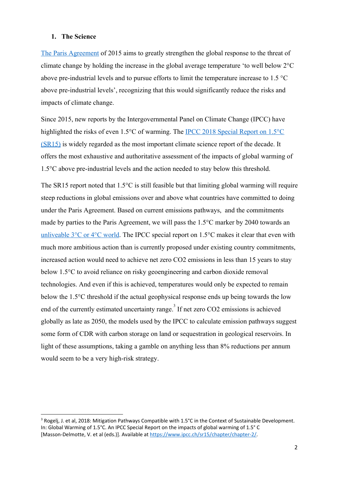#### **1. The Science**

[The Paris Agreement](https://unfccc.int/process-and-meetings/the-paris-agreement/the-paris-agreement) of 2015 aims to greatly strengthen the global response to the threat of climate change by holding the increase in the global average temperature 'to well below 2°C above pre-industrial levels and to pursue efforts to limit the temperature increase to 1.5 °C above pre-industrial levels', recognizing that this would significantly reduce the risks and impacts of climate change.

Since 2015, new reports by the Intergovernmental Panel on Climate Change (IPCC) have highlighted the risks of even 1.5°C of warming. The [IPCC 2018 Special Report on 1.5°C](https://www.ipcc.ch/sr15/) [\(SR15\)](https://www.ipcc.ch/sr15/) is widely regarded as the most important climate science report of the decade. It offers the most exhaustive and authoritative assessment of the impacts of global warming of 1.5°C above pre-industrial levels and the action needed to stay below this threshold.

The SR15 report noted that  $1.5^{\circ}$ C is still feasible but that limiting global warming will require steep reductions in global emissions over and above what countries have committed to doing under the Paris Agreement. Based on current emissions pathways, and the commitments made by parties to the Paris Agreement, we will pass the 1.5°C marker by 2040 towards an unliveable  $3^{\circ}$ C or  $4^{\circ}$ C world. The IPCC special report on 1.5°C makes it clear that even with much more ambitious action than is currently proposed under existing country commitments, increased action would need to achieve net zero CO2 emissions in less than 15 years to stay below 1.5°C to avoid reliance on risky geoengineering and carbon dioxide removal technologies. And even if this is achieved, temperatures would only be expected to remain below the 1.5°C threshold if the actual geophysical response ends up being towards the low end of the currently estimated uncertainty range.<sup>3</sup> If net zero CO2 emissions is achieved globally as late as 2050, the models used by the IPCC to calculate emission pathways suggest some form of CDR with carbon storage on land or sequestration in geological reservoirs. In light of these assumptions, taking a gamble on anything less than 8% reductions per annum would seem to be a very high-risk strategy.

<sup>&</sup>lt;sup>3</sup> Rogelj, J. et al, 2018: Mitigation Pathways Compatible with 1.5°C in the Context of Sustainable Development. In: Global Warming of 1.5°C. An IPCC Special Report on the impacts of global warming of 1.5° C [Masson-Delmotte, V. et al (eds.)]. Available at <https://www.ipcc.ch/sr15/chapter/chapter-2/>.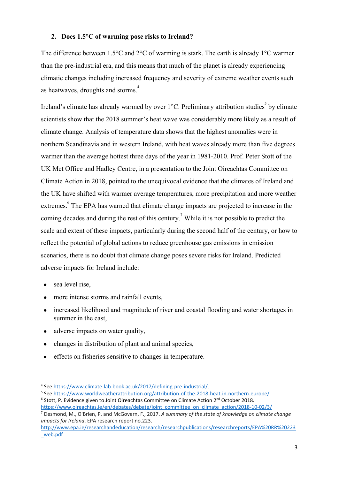### **2. Does 1.5°C of warming pose risks to Ireland?**

The difference between 1.5°C and 2°C of warming is stark. The earth is already 1°C warmer than the pre-industrial era, and this means that much of the planet is already experiencing climatic changes including increased frequency and severity of extreme weather events such as heatwaves, droughts and storms.<sup>4</sup>

Ireland's climate has already warmed by over  $1^{\circ}$ C. Preliminary attribution studies<sup>5</sup> by climate scientists show that the 2018 summer's heat wave was considerably more likely as a result of climate change. Analysis of temperature data shows that the highest anomalies were in northern Scandinavia and in western Ireland, with heat waves already more than five degrees warmer than the average hottest three days of the year in 1981-2010. Prof. Peter Stott of the UK Met Office and Hadley Centre, in a presentation to the Joint Oireachtas Committee on Climate Action in 2018, pointed to the unequivocal evidence that the climates of Ireland and the UK have shifted with warmer average temperatures, more precipitation and more weather extremes.<sup>6</sup> The EPA has warned that climate change impacts are projected to increase in the coming decades and during the rest of this century.<sup>7</sup> While it is not possible to predict the scale and extent of these impacts, particularly during the second half of the century, or how to reflect the potential of global actions to reduce greenhouse gas emissions in emission scenarios, there is no doubt that climate change poses severe risks for Ireland. Predicted adverse impacts for Ireland include:

- sea level rise,
- more intense storms and rainfall events,
- increased likelihood and magnitude of river and coastal flooding and water shortages in summer in the east,
- adverse impacts on water quality,
- changes in distribution of plant and animal species,
- effects on fisheries sensitive to changes in temperature.

<sup>5</sup> See [https://www.worldweatherattribution.org/attribution-of-the-2018-heat-in-northern-europe/.](https://www.worldweatherattribution.org/attribution-of-the-2018-heat-in-northern-europe/)

<sup>4</sup> See [https://www.climate-lab-book.ac.uk/2017/defining-pre-industrial/.](https://www.climate-lab-book.ac.uk/2017/defining-pre-industrial/)

 $6$  Stott, P. Evidence given to Joint Oireachtas Committee on Climate Action 2<sup>nd</sup> October 2018.

[https://www.oireachtas.ie/en/debates/debate/joint\\_committee\\_on\\_climate\\_action/2018-10-02/3/](https://www.oireachtas.ie/en/debates/debate/joint_committee_on_climate_action/2018-10-02/3/) <sup>7</sup> Desmond, M., O'Brien, P. and McGovern, F., 2017. *A summary of the state of knowledge on climate change impacts for Ireland*. EPA research report no.223.

[http://www.epa.ie/researchandeducation/research/researchpublications/researchreports/EPA%20RR%20223](http://www.epa.ie/researchandeducation/research/researchpublications/researchreports/EPA%20RR%20223_web.pdf) [\\_web.pdf](http://www.epa.ie/researchandeducation/research/researchpublications/researchreports/EPA%20RR%20223_web.pdf)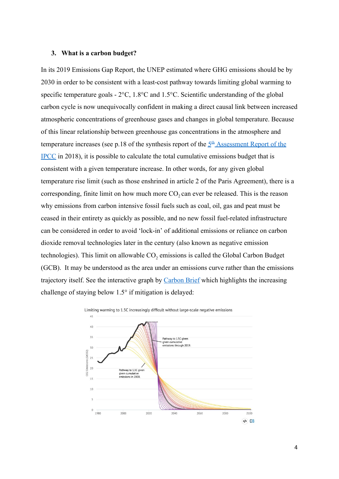#### **3. What is a carbon budget?**

In its 2019 Emissions Gap Report, the UNEP estimated where GHG emissions should be by 2030 in order to be consistent with a least-cost pathway towards limiting global warming to specific temperature goals - 2°C, 1.8°C and 1.5°C. Scientific understanding of the global carbon cycle is now unequivocally confident in making a direct causal link between increased atmospheric concentrations of greenhouse gases and changes in global temperature. Because of this linear relationship between greenhouse gas concentrations in the atmosphere and temperature increases (see p.18 of [th](https://www.ipcc.ch/site/assets/uploads/2018/02/AR5_SYR_FINAL_SPM.pdf)e synthesis report of the  $5<sup>th</sup>$  $5<sup>th</sup>$  [Assessment Report of the](https://www.ipcc.ch/site/assets/uploads/2018/02/AR5_SYR_FINAL_SPM.pdf) [IPCC](https://www.ipcc.ch/site/assets/uploads/2018/02/AR5_SYR_FINAL_SPM.pdf) in 2018), it is possible to calculate the total cumulative emissions budget that is consistent with a given temperature increase. In other words, for any given global temperature rise limit (such as those enshrined in article 2 of the Paris Agreement), there is a corresponding, finite limit on how much more  $CO_2$  can ever be released. This is the reason why emissions from carbon intensive fossil fuels such as coal, oil, gas and peat must be ceased in their entirety as quickly as possible, and no new fossil fuel-related infrastructure can be considered in order to avoid 'lock-in' of additional emissions or reliance on carbon dioxide removal technologies later in the century (also known as negative emission technologies). This limit on allowable  $CO_2$  emissions is called the Global Carbon Budget (GCB). It may be understood as the area under an emissions curve rather than the emissions trajectory itself. See the interactive graph by [Carbon Brief](https://www.carbonbrief.org/unep-1-5c-climate-target-slipping-out-of-reach) which highlights the increasing challenge of staying below 1.5° if mitigation is delayed:

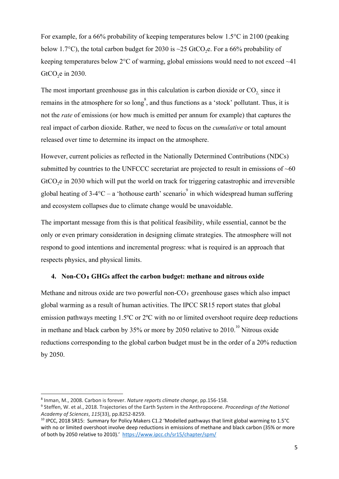For example, for a 66% probability of keeping temperatures below 1.5°C in 2100 (peaking below 1.7°C), the total carbon budget for 2030 is ~25 GtCO<sub>2</sub>e. For a 66% probability of keeping temperatures below 2°C of warming, global emissions would need to not exceed ~41 GtCO<sub>2</sub>e in 2030.

The most important greenhouse gas in this calculation is carbon dioxide or  $CO<sub>2</sub>$  since it remains in the atmosphere for so  $\log^8$ , and thus functions as a 'stock' pollutant. Thus, it is not the *rate* of emissions (or how much is emitted per annum for example) that captures the real impact of carbon dioxide. Rather, we need to focus on the *cumulative* or total amount released over time to determine its impact on the atmosphere.

However, current policies as reflected in the Nationally Determined Contributions (NDCs) submitted by countries to the UNFCCC secretariat are projected to result in emissions of  $~60$ GtCO<sub>2</sub>e in 2030 which will put the world on track for triggering catastrophic and irreversible global heating of  $3-4$ °C – a 'hothouse earth' scenario<sup>9</sup> in which widespread human suffering and ecosystem collapses due to climate change would be unavoidable.

The important message from this is that political feasibility, while essential, cannot be the only or even primary consideration in designing climate strategies. The atmosphere will not respond to good intentions and incremental progress: what is required is an approach that respects physics, and physical limits.

## **4. Non-CO**₂ **GHGs affect the carbon budget: methane and nitrous oxide**

Methane and nitrous oxide are two powerful non-CO<sub>2</sub> greenhouse gases which also impact global warming as a result of human activities. The IPCC SR15 report states that global emission pathways meeting 1.5ºC or 2ºC with no or limited overshoot require deep reductions in methane and black carbon by  $35\%$  or more by 2050 relative to  $2010$ .<sup>10</sup> Nitrous oxide reductions corresponding to the global carbon budget must be in the order of a 20% reduction by 2050.

<sup>8</sup> Inman, M., 2008. Carbon is forever. *Nature reports climate change*, pp.156-158.

<sup>9</sup> Steffen, W. et al., 2018. Trajectories of the Earth System in the Anthropocene. *Proceedings of the National Academy of Sciences*, *115*(33), pp.8252-8259.

<sup>10</sup> IPCC, 2018 SR15: Summary for Policy Makers C1.2 'Modelled pathways that limit global warming to 1.5°C with no or limited overshoot involve deep reductions in emissions of methane and black carbon (35% or more of both by 2050 relative to 2010).' <https://www.ipcc.ch/sr15/chapter/spm/>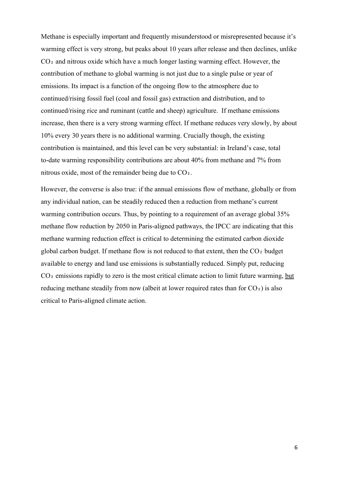Methane is especially important and frequently misunderstood or misrepresented because it's warming effect is very strong, but peaks about 10 years after release and then declines, unlike  $CO<sub>2</sub>$  and nitrous oxide which have a much longer lasting warming effect. However, the contribution of methane to global warming is not just due to a single pulse or year of emissions. Its impact is a function of the ongoing flow to the atmosphere due to continued/rising fossil fuel (coal and fossil gas) extraction and distribution, and to continued/rising rice and ruminant (cattle and sheep) agriculture. If methane emissions increase, then there is a very strong warming effect. If methane reduces very slowly, by about 10% every 30 years there is no additional warming. Crucially though, the existing contribution is maintained, and this level can be very substantial: in Ireland's case, total to-date warming responsibility contributions are about 40% from methane and 7% from nitrous oxide, most of the remainder being due to  $CO<sub>2</sub>$ .

However, the converse is also true: if the annual emissions flow of methane, globally or from any individual nation, can be steadily reduced then a reduction from methane's current warming contribution occurs. Thus, by pointing to a requirement of an average global 35% methane flow reduction by 2050 in Paris-aligned pathways, the IPCC are indicating that this methane warming reduction effect is critical to determining the estimated carbon dioxide global carbon budget. If methane flow is not reduced to that extent, then the  $CO<sub>2</sub>$  budget available to energy and land use emissions is substantially reduced. Simply put, reducing  $CO<sub>2</sub>$  emissions rapidly to zero is the most critical climate action to limit future warming, but reducing methane steadily from now (albeit at lower required rates than for  $CO<sub>2</sub>$ ) is also critical to Paris-aligned climate action.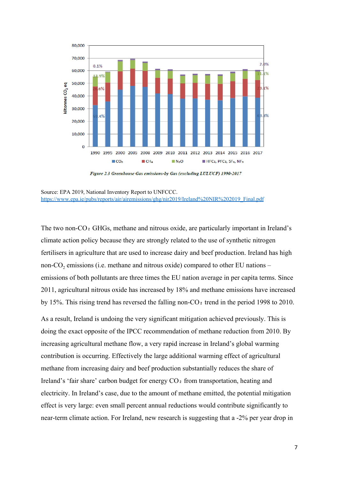

Figure 2.3 Greenhouse Gas emissions-by Gas (excluding LULUCF) 1990-2017

The two non-CO<sub>2</sub> GHGs, methane and nitrous oxide, are particularly important in Ireland's climate action policy because they are strongly related to the use of synthetic nitrogen fertilisers in agriculture that are used to increase dairy and beef production. Ireland has high non- $CO<sub>2</sub>$  emissions (i.e. methane and nitrous oxide) compared to other EU nations – emissions of both pollutants are three times the EU nation average in per capita terms. Since 2011, agricultural nitrous oxide has increased by 18% and methane emissions have increased by 15%. This rising trend has reversed the falling non-CO<sub>2</sub> trend in the period 1998 to 2010.

As a result, Ireland is undoing the very significant mitigation achieved previously. This is doing the exact opposite of the IPCC recommendation of methane reduction from 2010. By increasing agricultural methane flow, a very rapid increase in Ireland's global warming contribution is occurring. Effectively the large additional warming effect of agricultural methane from increasing dairy and beef production substantially reduces the share of Ireland's 'fair share' carbon budget for energy  $CO<sub>2</sub>$  from transportation, heating and electricity. In Ireland's case, due to the amount of methane emitted, the potential mitigation effect is very large: even small percent annual reductions would contribute significantly to near-term climate action. For Ireland, new research is suggesting that a -2% per year drop in

Source: EPA 2019, National Inventory Report to UNFCCC. [https://www.epa.ie/pubs/reports/air/airemissions/ghg/nir2019/Ireland%20NIR%202019\\_Final.pdf](https://www.epa.ie/pubs/reports/air/airemissions/ghg/nir2019/Ireland%20NIR%202019_Final.pdf)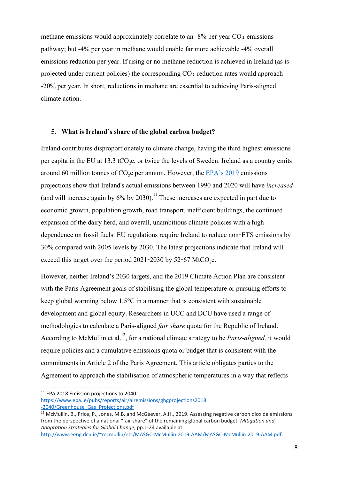methane emissions would approximately correlate to an  $-8\%$  per year CO<sub>2</sub> emissions pathway; but -4% per year in methane would enable far more achievable -4% overall emissions reduction per year. If rising or no methane reduction is achieved in Ireland (as is projected under current policies) the corresponding CO<sub>2</sub> reduction rates would approach -20% per year. In short, reductions in methane are essential to achieving Paris-aligned climate action.

### **5. What is Ireland's share of the global carbon budget?**

Ireland contributes disproportionately to climate change, having the third highest emissions per capita in the EU at 13.3 tCO<sub>2</sub>e, or twice the levels of Sweden. Ireland as a country emits around 60 million tonnes of  $CO<sub>2</sub>e$  per annum. However, the  $EPA's 2019$  emissions projections show that Ireland's actual emissions between 1990 and 2020 will have *increased* (and will increase again by  $6\%$  by 2030).<sup>11</sup> These increases are expected in part due to economic growth, population growth, road transport, inefficient buildings, the continued expansion of the dairy herd, and overall, unambitious climate policies with a high dependence on fossil fuels. EU regulations require Ireland to reduce non-ETS emissions by 30% compared with 2005 levels by 2030. The latest projections indicate that Ireland will exceed this target over the period  $2021$ -2030 by 52-67 MtCO<sub>2</sub>e.

However, neither Ireland's 2030 targets, and the 2019 Climate Action Plan are consistent with the Paris Agreement goals of stabilising the global temperature or pursuing efforts to keep global warming below 1.5°C in a manner that is consistent with sustainable development and global equity. Researchers in UCC and DCU have used a range of methodologies to calculate a Paris-aligned *fair share* quota for the Republic of Ireland. According to McMullin et al.<sup>12</sup>, for a national climate strategy to be *Paris-aligned*, it would require policies and a cumulative emissions quota or budget that is consistent with the commitments in Article 2 of the Paris Agreement. This article obligates parties to the Agreement to approach the stabilisation of atmospheric temperatures in a way that reflects

<sup>&</sup>lt;sup>11</sup> EPA 2018 Emission projections to 2040.

[https://www.epa.ie/pubs/reports/air/airemissions/ghgprojections2018](https://www.epa.ie/pubs/reports/air/airemissions/ghgprojections2018%20-2040/Greenhouse_Gas_Projections.pdf) [-2040/Greenhouse\\_Gas\\_Projections.pdf](https://www.epa.ie/pubs/reports/air/airemissions/ghgprojections2018%20-2040/Greenhouse_Gas_Projections.pdf)

<sup>&</sup>lt;sup>12</sup> McMullin, B., Price, P., Jones, M.B. and McGeever, A.H., 2019. Assessing negative carbon dioxide emissions from the perspective of a national "fair share" of the remaining global carbon budget. *Mitigation and Adaptation Strategies for Global Change*, pp.1-24 available at

<http://www.eeng.dcu.ie/~mcmullin/etc/MASGC-McMullin-2019-AAM/MASGC-McMullin-2019-AAM.pdf>.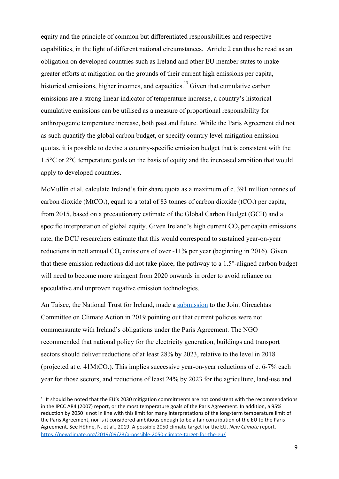equity and the principle of common but differentiated responsibilities and respective capabilities, in the light of different national circumstances. Article 2 can thus be read as an obligation on developed countries such as Ireland and other EU member states to make greater efforts at mitigation on the grounds of their current high emissions per capita, historical emissions, higher incomes, and capacities.<sup>13</sup> Given that cumulative carbon emissions are a strong linear indicator of temperature increase, a country's historical cumulative emissions can be utilised as a measure of proportional responsibility for anthropogenic temperature increase, both past and future. While the Paris Agreement did not as such quantify the global carbon budget, or specify country level mitigation emission quotas, it is possible to devise a country-specific emission budget that is consistent with the 1.5°C or 2°C temperature goals on the basis of equity and the increased ambition that would apply to developed countries.

McMullin et al. calculate Ireland's fair share quota as a maximum of c. 391 million tonnes of carbon dioxide (MtCO<sub>2</sub>), equal to a total of 83 tonnes of carbon dioxide (tCO<sub>2</sub>) per capita, from 2015, based on a precautionary estimate of the Global Carbon Budget (GCB) and a specific interpretation of global equity. Given Ireland's high current  $CO<sub>2</sub>$  per capita emissions rate, the DCU researchers estimate that this would correspond to sustained year-on-year reductions in nett annual  $CO_2$  emissions of over  $-11\%$  per year (beginning in 2016). Given that these emission reductions did not take place, the pathway to a 1.5°-aligned carbon budget will need to become more stringent from 2020 onwards in order to avoid reliance on speculative and unproven negative emission technologies.

An Taisce, the National Trust for Ireland, made a [submission](https://www.antaisce.org/publications/getting-ireland%E2%80%99s-climate-action-%E2%80%9Cback-on-track%E2%80%9D-what-%E2%80%8B-exactly-%E2%80%8B-does-it-mean) to the Joint Oireachtas Committee on Climate Action in 2019 pointing out that current policies were not commensurate with Ireland's obligations under the Paris Agreement. The NGO recommended that national policy for the electricity generation, buildings and transport sectors should deliver reductions of at least 28% by 2023, relative to the level in 2018 (projected at c. 41MtCO.). This implies successive year-on-year reductions of c. 6-7% each year for those sectors, and reductions of least 24% by 2023 for the agriculture, land-use and

 $13$  It should be noted that the EU's 2030 mitigation commitments are not consistent with the recommendations in the IPCC AR4 (2007) report, or the most temperature goals of the Paris Agreement. In addition, a 95% reduction by 2050 is not in line with this limit for many interpretations of the long-term temperature limit of the Paris Agreement, nor is it considered ambitious enough to be a fair contribution of the EU to the Paris Agreement. See Höhne, N. et al., 2019. A possible 2050 climate target for the EU. *New Climate* report. <https://newclimate.org/2019/09/23/a-possible-2050-climate-target-for-the-eu/>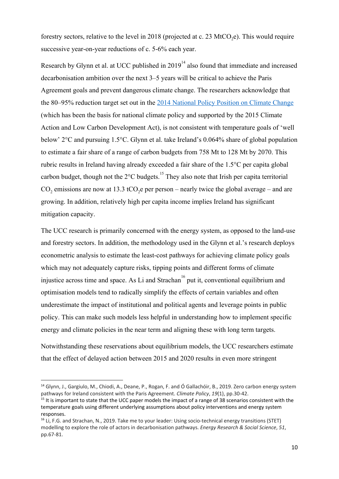forestry sectors, relative to the level in 2018 (projected at c. 23 MtCO<sub>2</sub>e). This would require successive year-on-year reductions of c. 5-6% each year.

Research by Glynn et al. at UCC published in  $2019<sup>14</sup>$  also found that immediate and increased decarbonisation ambition over the next 3–5 years will be critical to achieve the Paris Agreement goals and prevent dangerous climate change. The researchers acknowledge that the 80–95% reduction target set out in the [2014 National Policy Position on Climate Change](http://www.merrionstreet.ie/en/wp-content/uploads/2014/04/National-Policy-Position.docx) (which has been the basis for national climate policy and supported by the 2015 Climate Action and Low Carbon Development Act), is not consistent with temperature goals of 'well below' 2°C and pursuing 1.5°C. Glynn et al. take Ireland's 0.064% share of global population to estimate a fair share of a range of carbon budgets from 758 Mt to 128 Mt by 2070. This rubric results in Ireland having already exceeded a fair share of the 1.5°C per capita global carbon budget, though not the  $2^{\circ}$ C budgets.<sup>15</sup> They also note that Irish per capita territorial  $CO_2$  emissions are now at 13.3 tCO<sub>2</sub>e per person – nearly twice the global average – and are growing. In addition, relatively high per capita income implies Ireland has significant mitigation capacity.

The UCC research is primarily concerned with the energy system, as opposed to the land-use and forestry sectors. In addition, the methodology used in the Glynn et al.'s research deploys econometric analysis to estimate the least-cost pathways for achieving climate policy goals which may not adequately capture risks, tipping points and different forms of climate injustice across time and space. As Li and Strachan<sup>16</sup> put it, conventional equilibrium and optimisation models tend to radically simplify the effects of certain variables and often underestimate the impact of institutional and political agents and leverage points in public policy. This can make such models less helpful in understanding how to implement specific energy and climate policies in the near term and aligning these with long term targets.

Notwithstanding these reservations about equilibrium models, the UCC researchers estimate that the effect of delayed action between 2015 and 2020 results in even more stringent

<sup>&</sup>lt;sup>14</sup> Glynn, J., Gargiulo, M., Chiodi, A., Deane, P., Rogan, F. and Ó Gallachóir, B., 2019. Zero carbon energy system pathways for Ireland consistent with the Paris Agreement. *Climate Policy*, *19*(1), pp.30-42.

<sup>&</sup>lt;sup>15</sup> It is important to state that the UCC paper models the impact of a range of 38 scenarios consistent with the temperature goals using different underlying assumptions about policy interventions and energy system responses.

<sup>&</sup>lt;sup>16</sup> Li, F.G. and Strachan, N., 2019. Take me to your leader: Using socio-technical energy transitions (STET) modelling to explore the role of actors in decarbonisation pathways. *Energy Research & Social Science*, *51*, pp.67-81.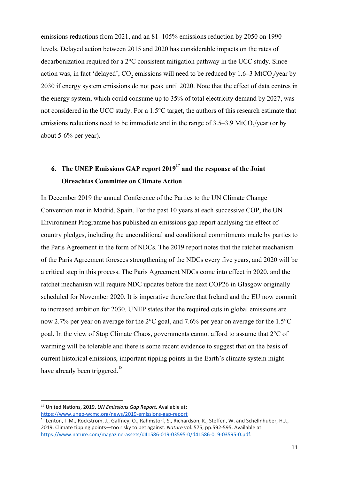emissions reductions from 2021, and an 81–105% emissions reduction by 2050 on 1990 levels. Delayed action between 2015 and 2020 has considerable impacts on the rates of decarbonization required for a 2°C consistent mitigation pathway in the UCC study. Since action was, in fact 'delayed',  $CO_2$  emissions will need to be reduced by 1.6–3 MtCO<sub>2</sub>/year by 2030 if energy system emissions do not peak until 2020. Note that the effect of data centres in the energy system, which could consume up to 35% of total electricity demand by 2027, was not considered in the UCC study. For a 1.5°C target, the authors of this research estimate that emissions reductions need to be immediate and in the range of  $3.5-3.9$  MtCO<sub>2</sub>/year (or by about 5-6% per year).

# **6.** The UNEP Emissions GAP report 2019<sup>17</sup> and the response of the Joint **Oireachtas Committee on Climate Action**

In December 2019 the annual Conference of the Parties to the UN Climate Change Convention met in Madrid, Spain. For the past 10 years at each successive COP, the UN Environment Programme has published an emissions gap report analysing the effect of country pledges, including the unconditional and conditional commitments made by parties to the Paris Agreement in the form of NDCs. The 2019 report notes that the ratchet mechanism of the Paris Agreement foresees strengthening of the NDCs every five years, and 2020 will be a critical step in this process. The Paris Agreement NDCs come into effect in 2020, and the ratchet mechanism will require NDC updates before the next COP26 in Glasgow originally scheduled for November 2020. It is imperative therefore that Ireland and the EU now commit to increased ambition for 2030. UNEP states that the required cuts in global emissions are now 2.7% per year on average for the 2°C goal, and 7.6% per year on average for the 1.5°C goal. In the view of Stop Climate Chaos, governments cannot afford to assume that 2°C of warming will be tolerable and there is some recent evidence to suggest that on the basis of current historical emissions, important tipping points in the Earth's climate system might have already been triggered.<sup>18</sup>

<sup>17</sup> United Nations, 2019, *UN Emissions Gap Report*. Available at: <https://www.unep-wcmc.org/news/2019-emissions-gap-report>

<sup>&</sup>lt;sup>18</sup> Lenton, T.M., Rockström, J., Gaffney, O., Rahmstorf, S., Richardson, K., Steffen, W. and Schellnhuber, H.J., 2019. Climate tipping points—too risky to bet against. *Nature* vol. 575, pp.592-595. Available at: [https://www.nature.com/magazine-assets/d41586-019-03595-0/d41586-019-03595-0.pdf.](https://www.nature.com/magazine-assets/d41586-019-03595-0/d41586-019-03595-0.pdf)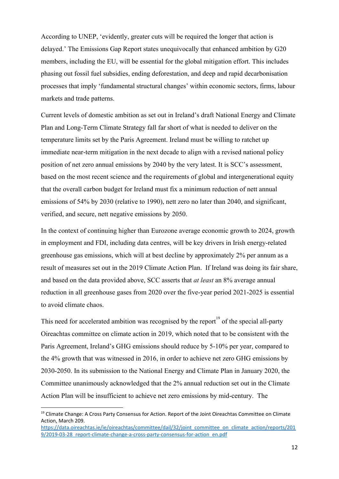According to UNEP, 'evidently, greater cuts will be required the longer that action is delayed.' The Emissions Gap Report states unequivocally that enhanced ambition by G20 members, including the EU, will be essential for the global mitigation effort. This includes phasing out fossil fuel subsidies, ending deforestation, and deep and rapid decarbonisation processes that imply 'fundamental structural changes' within economic sectors, firms, labour markets and trade patterns.

Current levels of domestic ambition as set out in Ireland's draft National Energy and Climate Plan and Long-Term Climate Strategy fall far short of what is needed to deliver on the temperature limits set by the Paris Agreement. Ireland must be willing to ratchet up immediate near-term mitigation in the next decade to align with a revised national policy position of net zero annual emissions by 2040 by the very latest. It is SCC's assessment, based on the most recent science and the requirements of global and intergenerational equity that the overall carbon budget for Ireland must fix a minimum reduction of nett annual emissions of 54% by 2030 (relative to 1990), nett zero no later than 2040, and significant, verified, and secure, nett negative emissions by 2050.

In the context of continuing higher than Eurozone average economic growth to 2024, growth in employment and FDI, including data centres, will be key drivers in Irish energy-related greenhouse gas emissions, which will at best decline by approximately 2% per annum as a result of measures set out in the 2019 Climate Action Plan. If Ireland was doing its fair share, and based on the data provided above, SCC asserts that *at least* an 8% average annual reduction in all greenhouse gases from 2020 over the five-year period 2021-2025 is essential to avoid climate chaos.

This need for accelerated ambition was recognised by the report<sup>19</sup> of the special all-party Oireachtas committee on climate action in 2019, which noted that to be consistent with the Paris Agreement, Ireland's GHG emissions should reduce by 5-10% per year, compared to the 4% growth that was witnessed in 2016, in order to achieve net zero GHG emissions by 2030-2050. In its submission to the National Energy and Climate Plan in January 2020, the Committee unanimously acknowledged that the 2% annual reduction set out in the Climate Action Plan will be insufficient to achieve net zero emissions by mid-century. The

<sup>&</sup>lt;sup>19</sup> Climate Change: A Cross Party Consensus for Action. Report of the Joint Oireachtas Committee on Climate Action, March 209.

[https://data.oireachtas.ie/ie/oireachtas/committee/dail/32/joint\\_committee\\_on\\_climate\\_action/reports/201](https://data.oireachtas.ie/ie/oireachtas/committee/dail/32/joint_committee_on_climate_action/reports/2019/2019-03-28_report-climate-change-a-cross-party-consensus-for-action_en.pdf) [9/2019-03-28\\_report-climate-change-a-cross-party-consensus-for-action\\_en.pdf](https://data.oireachtas.ie/ie/oireachtas/committee/dail/32/joint_committee_on_climate_action/reports/2019/2019-03-28_report-climate-change-a-cross-party-consensus-for-action_en.pdf)